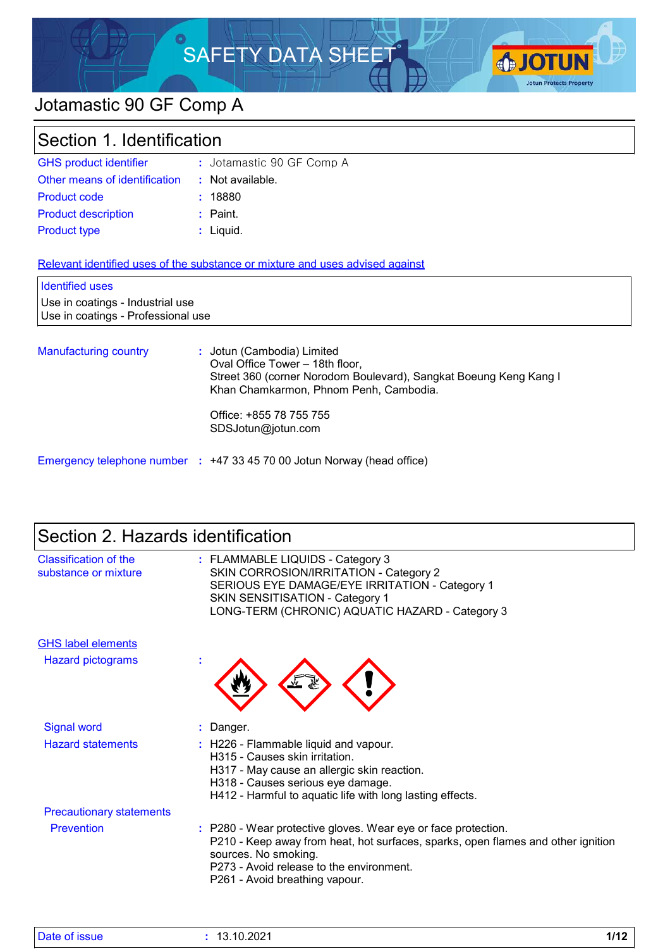# SAFETY DATA SHEET



# Jotamastic 90 GF Comp A

| Section 1. Identification                                              |                                                                                                                                                                              |  |
|------------------------------------------------------------------------|------------------------------------------------------------------------------------------------------------------------------------------------------------------------------|--|
| <b>GHS product identifier</b>                                          | : Jotamastic 90 GF Comp A                                                                                                                                                    |  |
| Other means of identification                                          | : Not available.                                                                                                                                                             |  |
| Product code                                                           | : 18880                                                                                                                                                                      |  |
| <b>Product description</b>                                             | $:$ Paint.                                                                                                                                                                   |  |
| <b>Product type</b>                                                    | : Liquid.                                                                                                                                                                    |  |
|                                                                        | Relevant identified uses of the substance or mixture and uses advised against                                                                                                |  |
| <b>Identified uses</b>                                                 |                                                                                                                                                                              |  |
| Use in coatings - Industrial use<br>Use in coatings - Professional use |                                                                                                                                                                              |  |
| <b>Manufacturing country</b>                                           | : Jotun (Cambodia) Limited<br>Oval Office Tower - 18th floor,<br>Street 360 (corner Norodom Boulevard), Sangkat Boeung Keng Kang I<br>Khan Chamkarmon, Phnom Penh, Cambodia. |  |
|                                                                        | Office: +855 78 755 755<br>SDSJotun@jotun.com                                                                                                                                |  |
|                                                                        | Emergency telephone number : +47 33 45 70 00 Jotun Norway (head office)                                                                                                      |  |

# Section 2. Hazards identification

| Classification of the<br>substance or mixture | : FLAMMABLE LIQUIDS - Category 3<br>SKIN CORROSION/IRRITATION - Category 2<br>SERIOUS EYE DAMAGE/EYE IRRITATION - Category 1<br><b>SKIN SENSITISATION - Category 1</b><br>LONG-TERM (CHRONIC) AQUATIC HAZARD - Category 3                               |
|-----------------------------------------------|---------------------------------------------------------------------------------------------------------------------------------------------------------------------------------------------------------------------------------------------------------|
| <b>GHS label elements</b>                     |                                                                                                                                                                                                                                                         |
| <b>Hazard pictograms</b>                      |                                                                                                                                                                                                                                                         |
| <b>Signal word</b>                            | : Danger.                                                                                                                                                                                                                                               |
| <b>Hazard statements</b>                      | : H226 - Flammable liquid and vapour.<br>H315 - Causes skin irritation.<br>H317 - May cause an allergic skin reaction.<br>H318 - Causes serious eye damage.<br>H412 - Harmful to aquatic life with long lasting effects.                                |
| <b>Precautionary statements</b>               |                                                                                                                                                                                                                                                         |
| Prevention                                    | : P280 - Wear protective gloves. Wear eye or face protection.<br>P210 - Keep away from heat, hot surfaces, sparks, open flames and other ignition<br>sources. No smoking.<br>P273 - Avoid release to the environment.<br>P261 - Avoid breathing vapour. |

| Date of issue | 13.10.2021 | 111 <sup>o</sup><br>. |
|---------------|------------|-----------------------|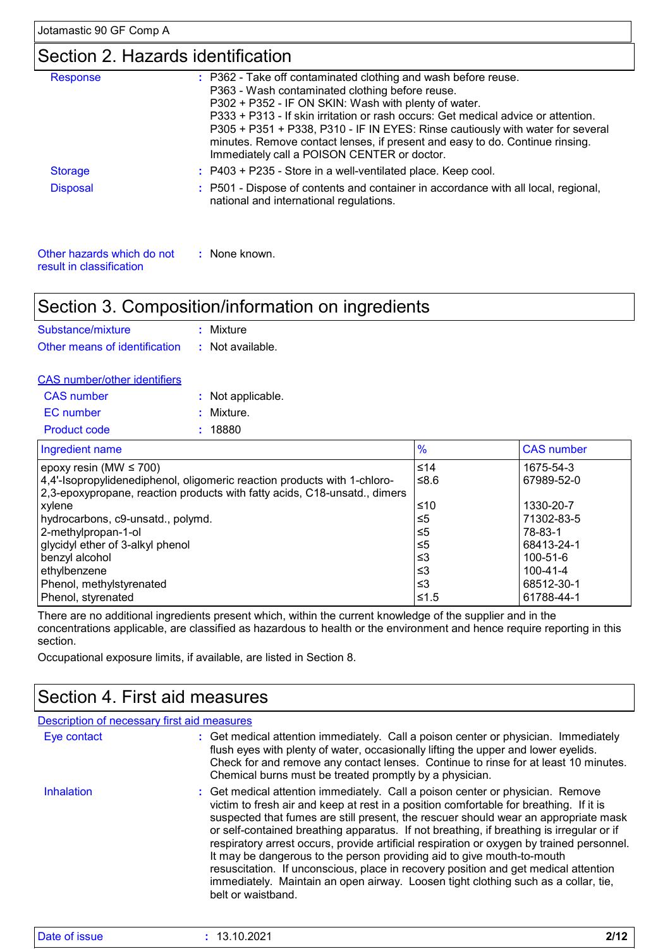result in classification

# Section 2. Hazards identification

| <b>Response</b>            | : P362 - Take off contaminated clothing and wash before reuse.<br>P363 - Wash contaminated clothing before reuse.<br>P302 + P352 - IF ON SKIN: Wash with plenty of water.<br>P333 + P313 - If skin irritation or rash occurs: Get medical advice or attention.<br>P305 + P351 + P338, P310 - IF IN EYES: Rinse cautiously with water for several<br>minutes. Remove contact lenses, if present and easy to do. Continue rinsing.<br>Immediately call a POISON CENTER or doctor. |
|----------------------------|---------------------------------------------------------------------------------------------------------------------------------------------------------------------------------------------------------------------------------------------------------------------------------------------------------------------------------------------------------------------------------------------------------------------------------------------------------------------------------|
| <b>Storage</b>             | $:$ P403 + P235 - Store in a well-ventilated place. Keep cool.                                                                                                                                                                                                                                                                                                                                                                                                                  |
| <b>Disposal</b>            | : P501 - Dispose of contents and container in accordance with all local, regional,<br>national and international regulations.                                                                                                                                                                                                                                                                                                                                                   |
| Other hazards which do not | : None known.                                                                                                                                                                                                                                                                                                                                                                                                                                                                   |

# Section 3. Composition/information on ingredients

| Substance/mixture             | : Mixture        |
|-------------------------------|------------------|
| Other means of identification | : Not available. |

| <b>CAS number/other identifiers</b> |                   |  |
|-------------------------------------|-------------------|--|
| <b>CAS</b> number                   | : Not applicable. |  |
| EC number                           | : Mixture.        |  |
| Product code                        | : 18880           |  |

| Ingredient name                                                           | $\frac{9}{6}$ | <b>CAS number</b> |
|---------------------------------------------------------------------------|---------------|-------------------|
| epoxy resin (MW $\leq$ 700)                                               | $\leq 14$     | 1675-54-3         |
| 4,4'-Isopropylidenediphenol, oligomeric reaction products with 1-chloro-  | ≤8.6          | 67989-52-0        |
| 2,3-epoxypropane, reaction products with fatty acids, C18-unsatd., dimers |               |                   |
| xylene                                                                    | ≤10           | 1330-20-7         |
| hydrocarbons, c9-unsatd., polymd.                                         | $\leq 5$      | 71302-83-5        |
| 2-methylpropan-1-ol                                                       | ≤5            | 78-83-1           |
| glycidyl ether of 3-alkyl phenol                                          | ≤5            | 68413-24-1        |
| benzyl alcohol                                                            | -≤3           | 100-51-6          |
| ethylbenzene                                                              | -≤3           | 100-41-4          |
| Phenol, methylstyrenated                                                  | ≤3            | 68512-30-1        |
| Phenol, styrenated                                                        | 5.1≥∣         | 61788-44-1        |

There are no additional ingredients present which, within the current knowledge of the supplier and in the concentrations applicable, are classified as hazardous to health or the environment and hence require reporting in this section.

Occupational exposure limits, if available, are listed in Section 8.

# Section 4. First aid measures

| <b>Description of necessary first aid measures</b> |                                                                                                                                                                                                                                                                                                                                                                                                                                                                                                                                                                                                                                                                                                                                       |
|----------------------------------------------------|---------------------------------------------------------------------------------------------------------------------------------------------------------------------------------------------------------------------------------------------------------------------------------------------------------------------------------------------------------------------------------------------------------------------------------------------------------------------------------------------------------------------------------------------------------------------------------------------------------------------------------------------------------------------------------------------------------------------------------------|
| Eye contact                                        | : Get medical attention immediately. Call a poison center or physician. Immediately<br>flush eyes with plenty of water, occasionally lifting the upper and lower eyelids.<br>Check for and remove any contact lenses. Continue to rinse for at least 10 minutes.<br>Chemical burns must be treated promptly by a physician.                                                                                                                                                                                                                                                                                                                                                                                                           |
| Inhalation                                         | : Get medical attention immediately. Call a poison center or physician. Remove<br>victim to fresh air and keep at rest in a position comfortable for breathing. If it is<br>suspected that fumes are still present, the rescuer should wear an appropriate mask<br>or self-contained breathing apparatus. If not breathing, if breathing is irregular or if<br>respiratory arrest occurs, provide artificial respiration or oxygen by trained personnel.<br>It may be dangerous to the person providing aid to give mouth-to-mouth<br>resuscitation. If unconscious, place in recovery position and get medical attention<br>immediately. Maintain an open airway. Loosen tight clothing such as a collar, tie,<br>belt or waistband. |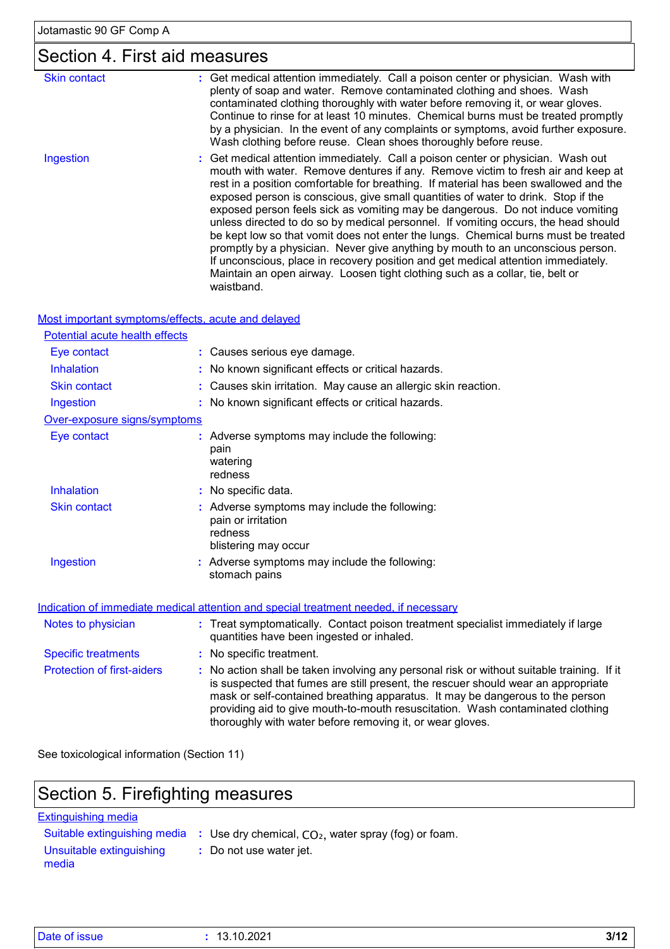# Section 4. First aid measures

| <b>Skin contact</b> | : Get medical attention immediately. Call a poison center or physician. Wash with<br>plenty of soap and water. Remove contaminated clothing and shoes. Wash                                                                                                                                                                                                                                                                                                                                                                                                                                                                                                                                                                                                                                                                                                                            |
|---------------------|----------------------------------------------------------------------------------------------------------------------------------------------------------------------------------------------------------------------------------------------------------------------------------------------------------------------------------------------------------------------------------------------------------------------------------------------------------------------------------------------------------------------------------------------------------------------------------------------------------------------------------------------------------------------------------------------------------------------------------------------------------------------------------------------------------------------------------------------------------------------------------------|
|                     | contaminated clothing thoroughly with water before removing it, or wear gloves.<br>Continue to rinse for at least 10 minutes. Chemical burns must be treated promptly<br>by a physician. In the event of any complaints or symptoms, avoid further exposure.<br>Wash clothing before reuse. Clean shoes thoroughly before reuse.                                                                                                                                                                                                                                                                                                                                                                                                                                                                                                                                                       |
| Ingestion           | : Get medical attention immediately. Call a poison center or physician. Wash out<br>mouth with water. Remove dentures if any. Remove victim to fresh air and keep at<br>rest in a position comfortable for breathing. If material has been swallowed and the<br>exposed person is conscious, give small quantities of water to drink. Stop if the<br>exposed person feels sick as vomiting may be dangerous. Do not induce vomiting<br>unless directed to do so by medical personnel. If vomiting occurs, the head should<br>be kept low so that vomit does not enter the lungs. Chemical burns must be treated<br>promptly by a physician. Never give anything by mouth to an unconscious person.<br>If unconscious, place in recovery position and get medical attention immediately.<br>Maintain an open airway. Loosen tight clothing such as a collar, tie, belt or<br>waistband. |

| Most important symptoms/effects, acute and delayed |  |
|----------------------------------------------------|--|

| Potential acute health effects    |                                                                                                                                                                                                                                                                                                                                                    |
|-----------------------------------|----------------------------------------------------------------------------------------------------------------------------------------------------------------------------------------------------------------------------------------------------------------------------------------------------------------------------------------------------|
| Eye contact                       | : Causes serious eye damage.                                                                                                                                                                                                                                                                                                                       |
| <b>Inhalation</b>                 | : No known significant effects or critical hazards.                                                                                                                                                                                                                                                                                                |
| <b>Skin contact</b>               | : Causes skin irritation. May cause an allergic skin reaction.                                                                                                                                                                                                                                                                                     |
| Ingestion                         | : No known significant effects or critical hazards.                                                                                                                                                                                                                                                                                                |
| Over-exposure signs/symptoms      |                                                                                                                                                                                                                                                                                                                                                    |
| Eye contact                       | : Adverse symptoms may include the following:<br>pain<br>watering<br>redness                                                                                                                                                                                                                                                                       |
| <b>Inhalation</b>                 | : No specific data.                                                                                                                                                                                                                                                                                                                                |
| <b>Skin contact</b>               | : Adverse symptoms may include the following:<br>pain or irritation<br>redness<br>blistering may occur                                                                                                                                                                                                                                             |
| Ingestion                         | : Adverse symptoms may include the following:<br>stomach pains                                                                                                                                                                                                                                                                                     |
|                                   | Indication of immediate medical attention and special treatment needed, if necessary                                                                                                                                                                                                                                                               |
| Notes to physician                | : Treat symptomatically. Contact poison treatment specialist immediately if large<br>quantities have been ingested or inhaled.                                                                                                                                                                                                                     |
| <b>Specific treatments</b>        | : No specific treatment.                                                                                                                                                                                                                                                                                                                           |
| <b>Protection of first-aiders</b> | : No action shall be taken involving any personal risk or without suitable training. If it<br>is suspected that fumes are still present, the rescuer should wear an appropriate<br>mask or self-contained breathing apparatus. It may be dangerous to the person<br>providing aid to give mouth-to-mouth resuscitation. Wash contaminated clothing |

See toxicological information (Section 11)

# Section 5. Firefighting measures

#### Extinguishing media

Suitable extinguishing media **:** Use dry chemical, CO<sub>2</sub>, water spray (fog) or foam.

thoroughly with water before removing it, or wear gloves.

- Unsuitable extinguishing media
	- **:** Do not use water jet.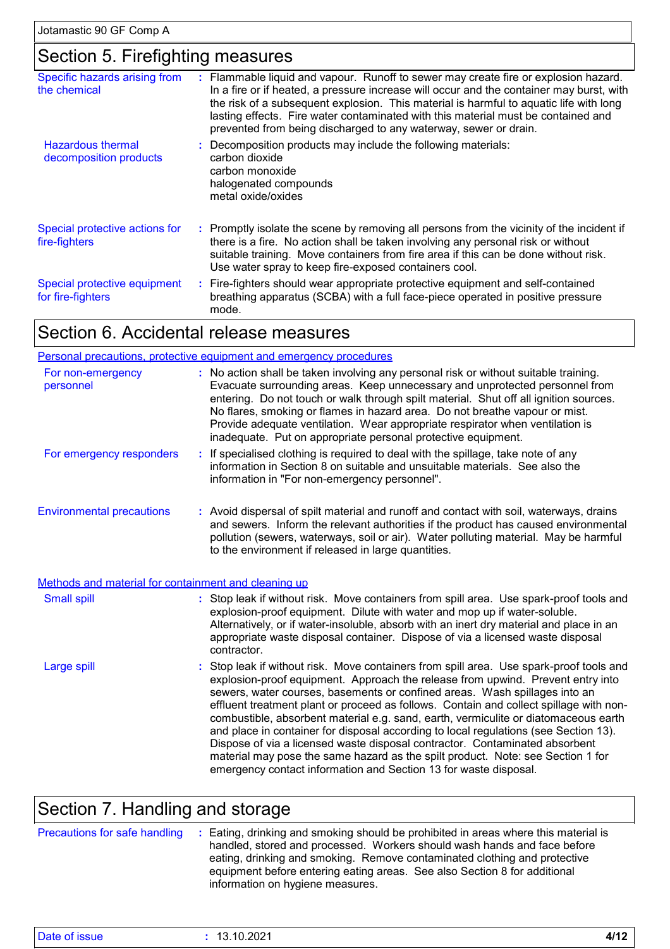# Section 5. Firefighting measures

| Specific hazards arising from<br>the chemical      | : Flammable liquid and vapour. Runoff to sewer may create fire or explosion hazard.<br>In a fire or if heated, a pressure increase will occur and the container may burst, with<br>the risk of a subsequent explosion. This material is harmful to aquatic life with long<br>lasting effects. Fire water contaminated with this material must be contained and<br>prevented from being discharged to any waterway, sewer or drain. |
|----------------------------------------------------|------------------------------------------------------------------------------------------------------------------------------------------------------------------------------------------------------------------------------------------------------------------------------------------------------------------------------------------------------------------------------------------------------------------------------------|
| <b>Hazardous thermal</b><br>decomposition products | : Decomposition products may include the following materials:<br>carbon dioxide<br>carbon monoxide<br>halogenated compounds<br>metal oxide/oxides                                                                                                                                                                                                                                                                                  |
| Special protective actions for<br>fire-fighters    | : Promptly isolate the scene by removing all persons from the vicinity of the incident if<br>there is a fire. No action shall be taken involving any personal risk or without<br>suitable training. Move containers from fire area if this can be done without risk.<br>Use water spray to keep fire-exposed containers cool.                                                                                                      |
| Special protective equipment<br>for fire-fighters  | : Fire-fighters should wear appropriate protective equipment and self-contained<br>breathing apparatus (SCBA) with a full face-piece operated in positive pressure<br>mode.                                                                                                                                                                                                                                                        |

# Section 6. Accidental release measures

|                                                      | Personal precautions, protective equipment and emergency procedures                                                                                                                                                                                                                                                                                                                                                                                                                                                                                                                                                                                                                                                                                                     |
|------------------------------------------------------|-------------------------------------------------------------------------------------------------------------------------------------------------------------------------------------------------------------------------------------------------------------------------------------------------------------------------------------------------------------------------------------------------------------------------------------------------------------------------------------------------------------------------------------------------------------------------------------------------------------------------------------------------------------------------------------------------------------------------------------------------------------------------|
| For non-emergency<br>personnel                       | : No action shall be taken involving any personal risk or without suitable training.<br>Evacuate surrounding areas. Keep unnecessary and unprotected personnel from<br>entering. Do not touch or walk through spilt material. Shut off all ignition sources.<br>No flares, smoking or flames in hazard area. Do not breathe vapour or mist.<br>Provide adequate ventilation. Wear appropriate respirator when ventilation is<br>inadequate. Put on appropriate personal protective equipment.                                                                                                                                                                                                                                                                           |
| For emergency responders                             | : If specialised clothing is required to deal with the spillage, take note of any<br>information in Section 8 on suitable and unsuitable materials. See also the<br>information in "For non-emergency personnel".                                                                                                                                                                                                                                                                                                                                                                                                                                                                                                                                                       |
| <b>Environmental precautions</b>                     | : Avoid dispersal of spilt material and runoff and contact with soil, waterways, drains<br>and sewers. Inform the relevant authorities if the product has caused environmental<br>pollution (sewers, waterways, soil or air). Water polluting material. May be harmful<br>to the environment if released in large quantities.                                                                                                                                                                                                                                                                                                                                                                                                                                           |
| Methods and material for containment and cleaning up |                                                                                                                                                                                                                                                                                                                                                                                                                                                                                                                                                                                                                                                                                                                                                                         |
| <b>Small spill</b>                                   | : Stop leak if without risk. Move containers from spill area. Use spark-proof tools and<br>explosion-proof equipment. Dilute with water and mop up if water-soluble.<br>Alternatively, or if water-insoluble, absorb with an inert dry material and place in an<br>appropriate waste disposal container. Dispose of via a licensed waste disposal<br>contractor.                                                                                                                                                                                                                                                                                                                                                                                                        |
| Large spill                                          | : Stop leak if without risk. Move containers from spill area. Use spark-proof tools and<br>explosion-proof equipment. Approach the release from upwind. Prevent entry into<br>sewers, water courses, basements or confined areas. Wash spillages into an<br>effluent treatment plant or proceed as follows. Contain and collect spillage with non-<br>combustible, absorbent material e.g. sand, earth, vermiculite or diatomaceous earth<br>and place in container for disposal according to local regulations (see Section 13).<br>Dispose of via a licensed waste disposal contractor. Contaminated absorbent<br>material may pose the same hazard as the spilt product. Note: see Section 1 for<br>emergency contact information and Section 13 for waste disposal. |

# Section 7. Handling and storage

|  | Precautions for safe handling : Eating, drinking and smoking should be prohibited in areas where this material is<br>handled, stored and processed. Workers should wash hands and face before<br>eating, drinking and smoking. Remove contaminated clothing and protective<br>equipment before entering eating areas. See also Section 8 for additional<br>information on hygiene measures. |
|--|---------------------------------------------------------------------------------------------------------------------------------------------------------------------------------------------------------------------------------------------------------------------------------------------------------------------------------------------------------------------------------------------|
|--|---------------------------------------------------------------------------------------------------------------------------------------------------------------------------------------------------------------------------------------------------------------------------------------------------------------------------------------------------------------------------------------------|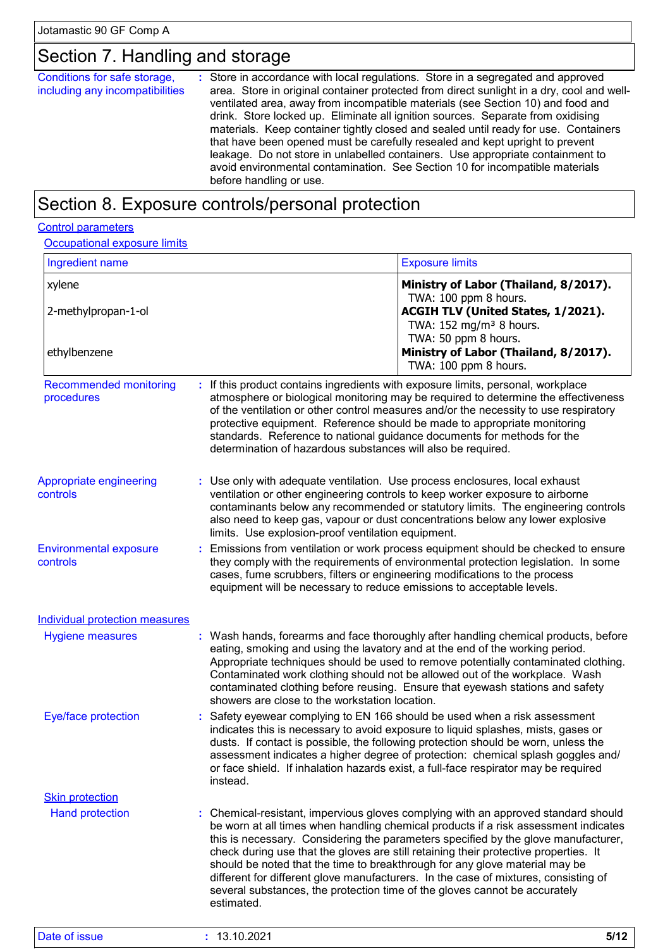# Section 7. Handling and storage

| Conditions for safe storage,<br>including any incompatibilities | : Store in accordance with local regulations. Store in a segregated and approved<br>area. Store in original container protected from direct sunlight in a dry, cool and well-<br>ventilated area, away from incompatible materials (see Section 10) and food and<br>drink. Store locked up. Eliminate all ignition sources. Separate from oxidising<br>materials. Keep container tightly closed and sealed until ready for use. Containers<br>that have been opened must be carefully resealed and kept upright to prevent<br>leakage. Do not store in unlabelled containers. Use appropriate containment to<br>avoid environmental contamination. See Section 10 for incompatible materials<br>before handling or use. |
|-----------------------------------------------------------------|-------------------------------------------------------------------------------------------------------------------------------------------------------------------------------------------------------------------------------------------------------------------------------------------------------------------------------------------------------------------------------------------------------------------------------------------------------------------------------------------------------------------------------------------------------------------------------------------------------------------------------------------------------------------------------------------------------------------------|
|-----------------------------------------------------------------|-------------------------------------------------------------------------------------------------------------------------------------------------------------------------------------------------------------------------------------------------------------------------------------------------------------------------------------------------------------------------------------------------------------------------------------------------------------------------------------------------------------------------------------------------------------------------------------------------------------------------------------------------------------------------------------------------------------------------|

# Section 8. Exposure controls/personal protection

#### Control parameters

| Occupational exposure limits |  |
|------------------------------|--|
|------------------------------|--|

| Ingredient name                             |                                                                                                                                                           | <b>Exposure limits</b>                                                                                                                                                                                                                                                                                                                                                                                                                                                                                                        |  |  |
|---------------------------------------------|-----------------------------------------------------------------------------------------------------------------------------------------------------------|-------------------------------------------------------------------------------------------------------------------------------------------------------------------------------------------------------------------------------------------------------------------------------------------------------------------------------------------------------------------------------------------------------------------------------------------------------------------------------------------------------------------------------|--|--|
| xylene                                      |                                                                                                                                                           | Ministry of Labor (Thailand, 8/2017).<br>TWA: 100 ppm 8 hours.                                                                                                                                                                                                                                                                                                                                                                                                                                                                |  |  |
| 2-methylpropan-1-ol<br>ethylbenzene         |                                                                                                                                                           | ACGIH TLV (United States, 1/2021).<br>TWA: 152 mg/m <sup>3</sup> 8 hours.<br>TWA: 50 ppm 8 hours.<br>Ministry of Labor (Thailand, 8/2017).                                                                                                                                                                                                                                                                                                                                                                                    |  |  |
|                                             |                                                                                                                                                           | TWA: 100 ppm 8 hours.                                                                                                                                                                                                                                                                                                                                                                                                                                                                                                         |  |  |
| <b>Recommended monitoring</b><br>procedures | determination of hazardous substances will also be required.                                                                                              | If this product contains ingredients with exposure limits, personal, workplace<br>atmosphere or biological monitoring may be required to determine the effectiveness<br>of the ventilation or other control measures and/or the necessity to use respiratory<br>protective equipment. Reference should be made to appropriate monitoring<br>standards. Reference to national guidance documents for methods for the                                                                                                           |  |  |
| Appropriate engineering<br>controls         | : Use only with adequate ventilation. Use process enclosures, local exhaust<br>limits. Use explosion-proof ventilation equipment.                         | ventilation or other engineering controls to keep worker exposure to airborne<br>contaminants below any recommended or statutory limits. The engineering controls<br>also need to keep gas, vapour or dust concentrations below any lower explosive                                                                                                                                                                                                                                                                           |  |  |
| <b>Environmental exposure</b><br>controls   | t.<br>cases, fume scrubbers, filters or engineering modifications to the process<br>equipment will be necessary to reduce emissions to acceptable levels. | Emissions from ventilation or work process equipment should be checked to ensure<br>they comply with the requirements of environmental protection legislation. In some                                                                                                                                                                                                                                                                                                                                                        |  |  |
| Individual protection measures              |                                                                                                                                                           |                                                                                                                                                                                                                                                                                                                                                                                                                                                                                                                               |  |  |
| <b>Hygiene measures</b>                     | showers are close to the workstation location.                                                                                                            | : Wash hands, forearms and face thoroughly after handling chemical products, before<br>eating, smoking and using the lavatory and at the end of the working period.<br>Appropriate techniques should be used to remove potentially contaminated clothing.<br>Contaminated work clothing should not be allowed out of the workplace. Wash<br>contaminated clothing before reusing. Ensure that eyewash stations and safety                                                                                                     |  |  |
| Eye/face protection                         | instead.                                                                                                                                                  | Safety eyewear complying to EN 166 should be used when a risk assessment<br>indicates this is necessary to avoid exposure to liquid splashes, mists, gases or<br>dusts. If contact is possible, the following protection should be worn, unless the<br>assessment indicates a higher degree of protection: chemical splash goggles and/<br>or face shield. If inhalation hazards exist, a full-face respirator may be required                                                                                                |  |  |
| <b>Skin protection</b>                      |                                                                                                                                                           |                                                                                                                                                                                                                                                                                                                                                                                                                                                                                                                               |  |  |
| <b>Hand protection</b>                      | several substances, the protection time of the gloves cannot be accurately<br>estimated.                                                                  | : Chemical-resistant, impervious gloves complying with an approved standard should<br>be worn at all times when handling chemical products if a risk assessment indicates<br>this is necessary. Considering the parameters specified by the glove manufacturer,<br>check during use that the gloves are still retaining their protective properties. It<br>should be noted that the time to breakthrough for any glove material may be<br>different for different glove manufacturers. In the case of mixtures, consisting of |  |  |
| Date of issue                               | : 13.10.2021                                                                                                                                              | $5/12$                                                                                                                                                                                                                                                                                                                                                                                                                                                                                                                        |  |  |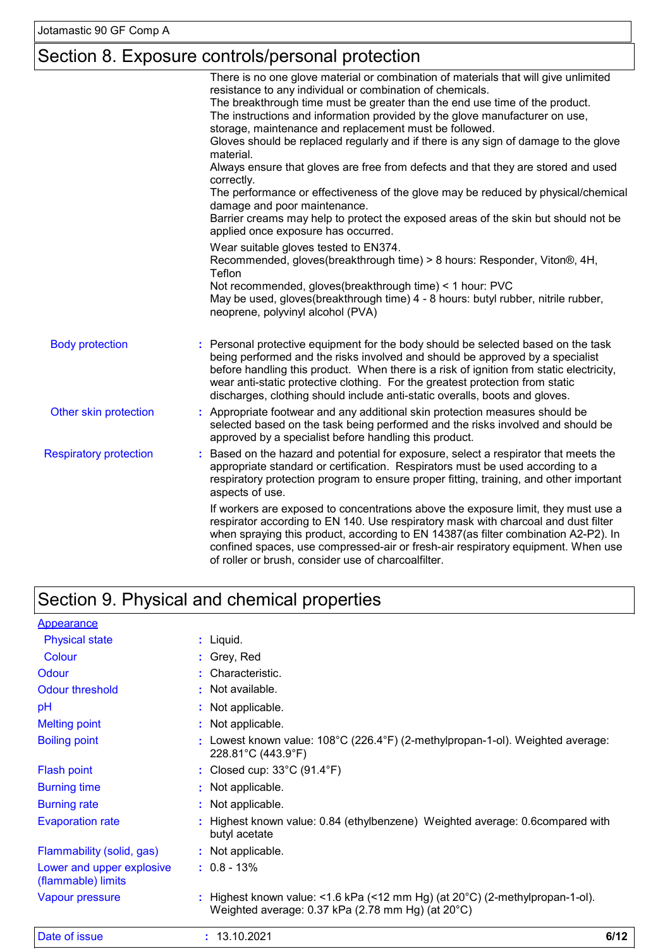# Section 8. Exposure controls/personal protection

|                               | There is no one glove material or combination of materials that will give unlimited<br>resistance to any individual or combination of chemicals.<br>The breakthrough time must be greater than the end use time of the product.<br>The instructions and information provided by the glove manufacturer on use,                                                                                                                |
|-------------------------------|-------------------------------------------------------------------------------------------------------------------------------------------------------------------------------------------------------------------------------------------------------------------------------------------------------------------------------------------------------------------------------------------------------------------------------|
|                               | storage, maintenance and replacement must be followed.<br>Gloves should be replaced regularly and if there is any sign of damage to the glove<br>material.                                                                                                                                                                                                                                                                    |
|                               | Always ensure that gloves are free from defects and that they are stored and used<br>correctly.                                                                                                                                                                                                                                                                                                                               |
|                               | The performance or effectiveness of the glove may be reduced by physical/chemical<br>damage and poor maintenance.                                                                                                                                                                                                                                                                                                             |
|                               | Barrier creams may help to protect the exposed areas of the skin but should not be<br>applied once exposure has occurred.                                                                                                                                                                                                                                                                                                     |
|                               | Wear suitable gloves tested to EN374.<br>Recommended, gloves(breakthrough time) > 8 hours: Responder, Viton®, 4H,<br>Teflon                                                                                                                                                                                                                                                                                                   |
|                               | Not recommended, gloves(breakthrough time) < 1 hour: PVC<br>May be used, gloves(breakthrough time) 4 - 8 hours: butyl rubber, nitrile rubber,<br>neoprene, polyvinyl alcohol (PVA)                                                                                                                                                                                                                                            |
| <b>Body protection</b>        | : Personal protective equipment for the body should be selected based on the task<br>being performed and the risks involved and should be approved by a specialist<br>before handling this product. When there is a risk of ignition from static electricity,<br>wear anti-static protective clothing. For the greatest protection from static<br>discharges, clothing should include anti-static overalls, boots and gloves. |
| Other skin protection         | : Appropriate footwear and any additional skin protection measures should be<br>selected based on the task being performed and the risks involved and should be<br>approved by a specialist before handling this product.                                                                                                                                                                                                     |
| <b>Respiratory protection</b> | Based on the hazard and potential for exposure, select a respirator that meets the<br>appropriate standard or certification. Respirators must be used according to a<br>respiratory protection program to ensure proper fitting, training, and other important<br>aspects of use.                                                                                                                                             |
|                               | If workers are exposed to concentrations above the exposure limit, they must use a<br>respirator according to EN 140. Use respiratory mask with charcoal and dust filter<br>when spraying this product, according to EN 14387(as filter combination A2-P2). In<br>confined spaces, use compressed-air or fresh-air respiratory equipment. When use<br>of roller or brush, consider use of charcoalfilter.                     |

# Section 9. Physical and chemical properties

| Date of issue                                   | : 13.10.2021                                                                                                                    | 6/12 |
|-------------------------------------------------|---------------------------------------------------------------------------------------------------------------------------------|------|
| Vapour pressure                                 | Highest known value: <1.6 kPa (<12 mm Hg) (at 20°C) (2-methylpropan-1-ol).<br>Weighted average: 0.37 kPa (2.78 mm Hg) (at 20°C) |      |
| Lower and upper explosive<br>(flammable) limits | $: 0.8 - 13\%$                                                                                                                  |      |
| Flammability (solid, gas)                       | : Not applicable.                                                                                                               |      |
| <b>Evaporation rate</b>                         | Highest known value: 0.84 (ethylbenzene) Weighted average: 0.6 compared with<br>butyl acetate                                   |      |
| <b>Burning rate</b>                             | : Not applicable.                                                                                                               |      |
| <b>Burning time</b>                             | : Not applicable.                                                                                                               |      |
| <b>Flash point</b>                              | : Closed cup: $33^{\circ}$ C (91.4 $^{\circ}$ F)                                                                                |      |
| <b>Boiling point</b>                            | Lowest known value: 108°C (226.4°F) (2-methylpropan-1-ol). Weighted average:<br>228.81°C (443.9°F)                              |      |
| <b>Melting point</b>                            | : Not applicable.                                                                                                               |      |
| pH                                              | : Not applicable.                                                                                                               |      |
| <b>Odour threshold</b>                          | : Not available.                                                                                                                |      |
| Odour                                           | : Characteristic.                                                                                                               |      |
| Colour                                          | : Grey, Red                                                                                                                     |      |
| <b>Physical state</b>                           | $:$ Liquid.                                                                                                                     |      |
| Appearance                                      |                                                                                                                                 |      |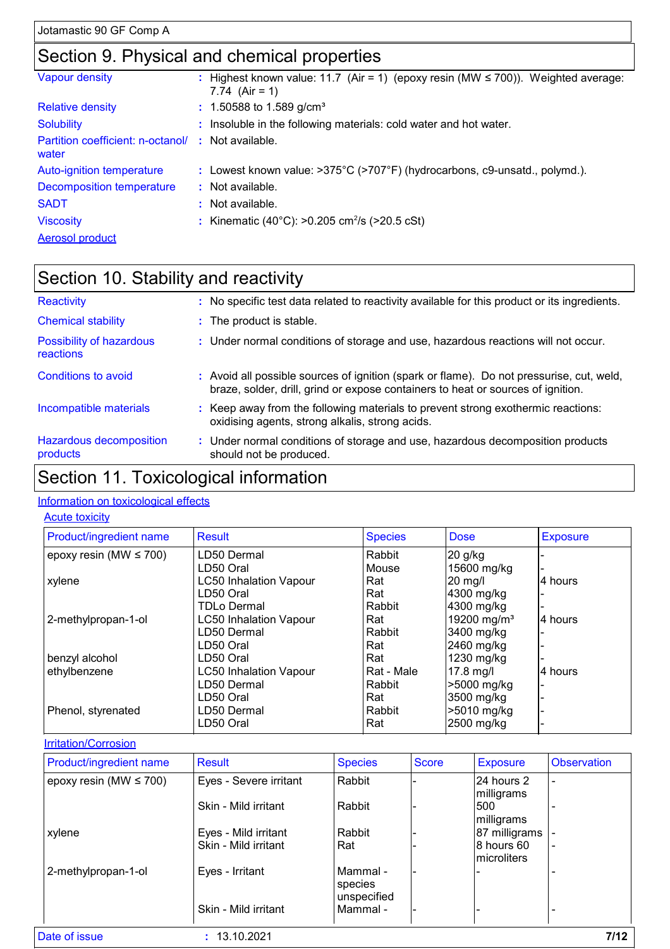# Section 9. Physical and chemical properties

| Vapour density                                              | : Highest known value: 11.7 (Air = 1) (epoxy resin (MW $\leq$ 700)). Weighted average:<br>7.74 $(Air = 1)$ |
|-------------------------------------------------------------|------------------------------------------------------------------------------------------------------------|
| <b>Relative density</b>                                     | $: 1.50588$ to 1.589 g/cm <sup>3</sup>                                                                     |
| <b>Solubility</b>                                           | : Insoluble in the following materials: cold water and hot water.                                          |
| Partition coefficient: n-octanol/ : Not available.<br>water |                                                                                                            |
| Auto-ignition temperature                                   | : Lowest known value: $>375^{\circ}$ C ( $>707^{\circ}$ F) (hydrocarbons, c9-unsatd., polymd.).            |
| <b>Decomposition temperature</b>                            | $\therefore$ Not available.                                                                                |
| <b>SADT</b>                                                 | : Not available.                                                                                           |
| <b>Viscosity</b>                                            | : Kinematic (40°C): >0.205 cm <sup>2</sup> /s (>20.5 cSt)                                                  |
| <b>Aerosol product</b>                                      |                                                                                                            |

#### Section 10. Stability and reactivity Conditions to avoid Avoid all possible sources of ignition (spark or flame). Do not pressurise, cut, weld, **:** braze, solder, drill, grind or expose containers to heat or sources of ignition. Chemical stability **:** The product is stable. Possibility of hazardous reactions **:** Under normal conditions of storage and use, hazardous reactions will not occur. Reactivity **:** No specific test data related to reactivity available for this product or its ingredients.

| Incompatible materials                         | : Keep away from the following materials to prevent strong exothermic reactions:<br>oxidising agents, strong alkalis, strong acids. |  |
|------------------------------------------------|-------------------------------------------------------------------------------------------------------------------------------------|--|
| المستنقلة والمستحدث والمستحدث والمستحدث والمال |                                                                                                                                     |  |

#### Hazardous decomposition products Under normal conditions of storage and use, hazardous decomposition products **:** should not be produced.

### Section 11. Toxicological information

#### Information on toxicological effects

#### **Acute toxicity**

| Product/ingredient name     | <b>Result</b>                 | <b>Species</b> | <b>Dose</b>             | <b>Exposure</b> |
|-----------------------------|-------------------------------|----------------|-------------------------|-----------------|
| epoxy resin (MW $\leq$ 700) | LD50 Dermal                   | Rabbit         | $20$ g/kg               |                 |
|                             | LD50 Oral                     | Mouse          | 15600 mg/kg             |                 |
| xylene                      | <b>LC50 Inhalation Vapour</b> | Rat            | 20 mg/l                 | 4 hours         |
|                             | LD50 Oral                     | Rat            | 4300 mg/kg              |                 |
|                             | <b>TDLo Dermal</b>            | Rabbit         | 4300 mg/kg              |                 |
| 2-methylpropan-1-ol         | <b>LC50 Inhalation Vapour</b> | Rat            | 19200 mg/m <sup>3</sup> | l4 hours        |
|                             | LD50 Dermal                   | Rabbit         | 3400 mg/kg              |                 |
|                             | LD50 Oral                     | Rat            | 2460 mg/kg              |                 |
| benzyl alcohol              | LD50 Oral                     | Rat            | 1230 mg/kg              |                 |
| ethylbenzene                | <b>LC50 Inhalation Vapour</b> | Rat - Male     | $17.8$ mg/l             | 4 hours         |
|                             | LD50 Dermal                   | Rabbit         | >5000 mg/kg             |                 |
|                             | LD50 Oral                     | Rat            | 3500 mg/kg              |                 |
| Phenol, styrenated          | LD50 Dermal                   | Rabbit         | >5010 mg/kg             |                 |
|                             | LD50 Oral                     | Rat            | 2500 mg/kg              |                 |

#### Irritation/Corrosion

| Product/ingredient name     | <b>Result</b>          | <b>Species</b>                     | <b>Score</b>             | <b>Exposure</b>            | <b>Observation</b> |
|-----------------------------|------------------------|------------------------------------|--------------------------|----------------------------|--------------------|
| epoxy resin (MW $\leq$ 700) | Eyes - Severe irritant | Rabbit                             |                          | 24 hours 2<br>milligrams   |                    |
|                             | Skin - Mild irritant   | Rabbit                             |                          | 500<br>milligrams          |                    |
| xylene                      | Eyes - Mild irritant   | Rabbit                             | $\overline{\phantom{0}}$ | 87 milligrams              |                    |
|                             | Skin - Mild irritant   | Rat                                |                          | 8 hours 60<br>Imicroliters | $\blacksquare$     |
| 2-methylpropan-1-ol         | Eyes - Irritant        | Mammal -<br>species<br>unspecified |                          |                            |                    |
|                             | Skin - Mild irritant   | Mammal -                           |                          |                            |                    |
| Date of issue               | : 13.10.2021           |                                    |                          |                            | 7/12               |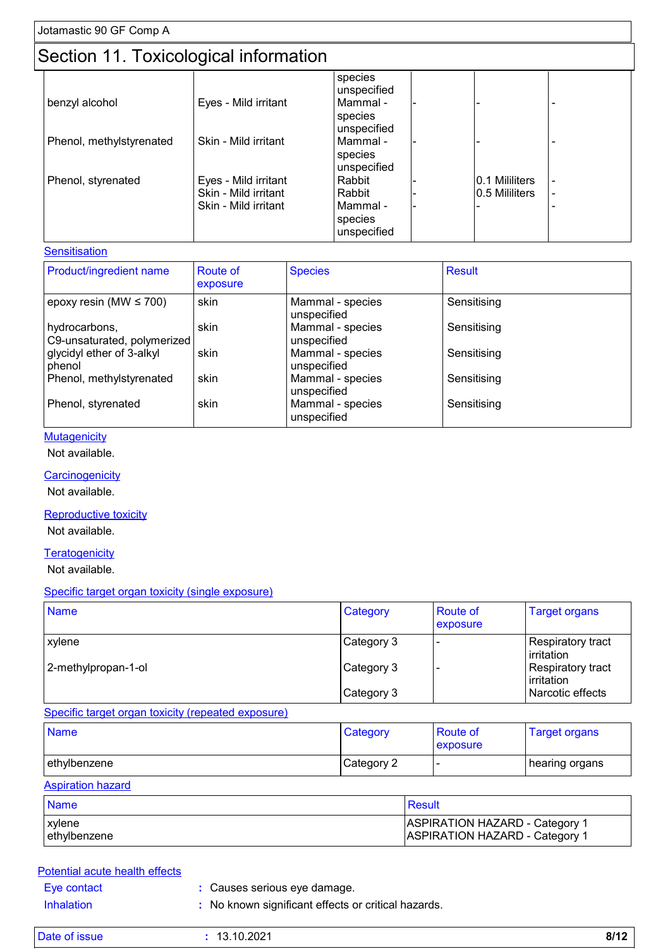# Section 11. Toxicological information

|                          | <u>sooman 11.10 moordgrout innonnament</u> |                        |  |                |   |  |  |  |
|--------------------------|--------------------------------------------|------------------------|--|----------------|---|--|--|--|
|                          |                                            | species<br>unspecified |  |                |   |  |  |  |
| benzyl alcohol           | Eyes - Mild irritant                       | Mammal -               |  |                | - |  |  |  |
|                          |                                            | species                |  |                |   |  |  |  |
|                          |                                            | unspecified            |  |                |   |  |  |  |
| Phenol, methylstyrenated | Skin - Mild irritant                       | Mammal -               |  |                | - |  |  |  |
|                          |                                            | species                |  |                |   |  |  |  |
|                          |                                            | unspecified            |  |                |   |  |  |  |
| Phenol, styrenated       | Eyes - Mild irritant                       | Rabbit                 |  | 0.1 Mililiters |   |  |  |  |
|                          | Skin - Mild irritant                       | Rabbit                 |  | 0.5 Mililiters | ۰ |  |  |  |
|                          | Skin - Mild irritant                       | Mammal -               |  |                |   |  |  |  |
|                          |                                            | species                |  |                |   |  |  |  |
|                          |                                            | unspecified            |  |                |   |  |  |  |

#### **Sensitisation**

| <b>Product/ingredient name</b>               | <b>Route of</b><br>exposure | <b>Species</b>                  | <b>Result</b> |
|----------------------------------------------|-----------------------------|---------------------------------|---------------|
| epoxy resin (MW $\leq$ 700)                  | skin                        | Mammal - species<br>unspecified | Sensitising   |
| hydrocarbons,<br>C9-unsaturated, polymerized | skin                        | Mammal - species<br>unspecified | Sensitising   |
| glycidyl ether of 3-alkyl<br>phenol          | skin                        | Mammal - species<br>unspecified | Sensitising   |
| Phenol, methylstyrenated                     | skin                        | Mammal - species<br>unspecified | Sensitising   |
| Phenol, styrenated                           | skin                        | Mammal - species<br>unspecified | Sensitising   |

#### **Mutagenicity**

Not available.

#### **Carcinogenicity**

Not available.

#### Reproductive toxicity

Not available.

#### **Teratogenicity**

Not available.

#### Specific target organ toxicity (single exposure)

| <b>Name</b>         | Category   | <b>Route of</b><br><b>exposure</b> | <b>Target organs</b>            |
|---------------------|------------|------------------------------------|---------------------------------|
| <b>xylene</b>       | Category 3 |                                    | Respiratory tract<br>irritation |
| 2-methylpropan-1-ol | Category 3 |                                    | Respiratory tract<br>irritation |
|                     | Category 3 |                                    | Narcotic effects                |

#### Specific target organ toxicity (repeated exposure)

| <b>Name</b>  | Category   | <b>Route of</b><br>exposure | <b>Target organs</b> |
|--------------|------------|-----------------------------|----------------------|
| ethylbenzene | Category 2 | -                           | hearing organs       |

#### Aspiration hazard

| <b>Name</b>   | Result                                |
|---------------|---------------------------------------|
| xylene        | <b>ASPIRATION HAZARD - Category 1</b> |
| lethylbenzene | ASPIRATION HAZARD - Category 1        |

#### Potential acute health effects

- Eye contact **:** Causes serious eye damage.
- Inhalation **:** No known significant effects or critical hazards.

| <b>Date</b><br>ssue i | '0.2021<br>. . | $8/1^\circ$<br>. |
|-----------------------|----------------|------------------|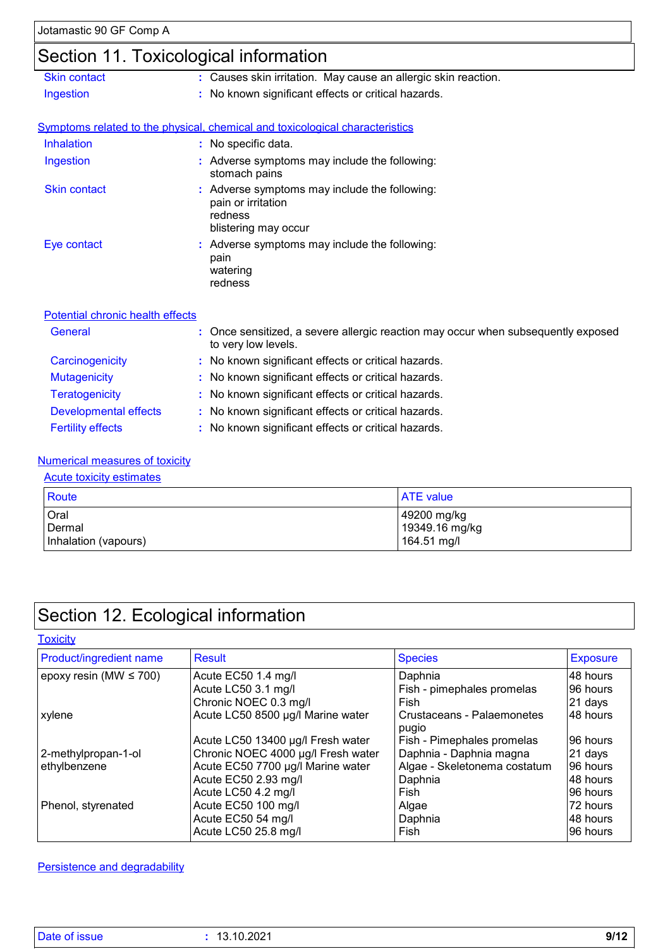# Section 11. Toxicological information

|                                         | ັ                                                                                                                      |
|-----------------------------------------|------------------------------------------------------------------------------------------------------------------------|
| <b>Skin contact</b>                     | : Causes skin irritation. May cause an allergic skin reaction.                                                         |
| Ingestion                               | : No known significant effects or critical hazards.                                                                    |
|                                         |                                                                                                                        |
|                                         | Symptoms related to the physical, chemical and toxicological characteristics                                           |
| <b>Inhalation</b>                       | : No specific data.                                                                                                    |
| Ingestion                               | : Adverse symptoms may include the following:<br>stomach pains                                                         |
| <b>Skin contact</b>                     | $:$ Adverse symptoms may include the following:<br>pain or irritation<br>redness<br>blistering may occur               |
| Eye contact                             | : Adverse symptoms may include the following:<br>pain<br>watering<br>redness                                           |
| <b>Potential chronic health effects</b> |                                                                                                                        |
| General                                 | : Once sensitized, a severe allergic reaction may occur when subsequently exposed<br>الملمد دماليد دوالد معمودات الملك |

|                              | to very low levels.                                 |
|------------------------------|-----------------------------------------------------|
| Carcinogenicity              | : No known significant effects or critical hazards. |
| <b>Mutagenicity</b>          | : No known significant effects or critical hazards. |
| <b>Teratogenicity</b>        | : No known significant effects or critical hazards. |
| <b>Developmental effects</b> | : No known significant effects or critical hazards. |
| <b>Fertility effects</b>     | : No known significant effects or critical hazards. |

#### Numerical measures of toxicity

#### Acute toxicity estimates

| Route                | <b>ATE</b> value |
|----------------------|------------------|
| Oral                 | 49200 mg/kg      |
| Dermal               | 19349.16 mg/kg   |
| Inhalation (vapours) | 164.51 mg/l      |

# Section 12. Ecological information

**Toxicity** 

| Product/ingredient name     | Result                             | <b>Species</b>                      | <b>Exposure</b> |
|-----------------------------|------------------------------------|-------------------------------------|-----------------|
| epoxy resin (MW $\leq$ 700) | Acute EC50 1.4 mg/l                | Daphnia                             | 48 hours        |
|                             | Acute LC50 3.1 mg/l                | Fish - pimephales promelas          | 96 hours        |
|                             | Chronic NOEC 0.3 mg/l              | Fish                                | 21 days         |
| xylene                      | Acute LC50 8500 µg/l Marine water  | Crustaceans - Palaemonetes<br>pugio | 48 hours        |
|                             | Acute LC50 13400 µg/l Fresh water  | Fish - Pimephales promelas          | 96 hours        |
| 2-methylpropan-1-ol         | Chronic NOEC 4000 µg/l Fresh water | Daphnia - Daphnia magna             | 21 days         |
| ethylbenzene                | Acute EC50 7700 µg/l Marine water  | Algae - Skeletonema costatum        | 96 hours        |
|                             | Acute EC50 2.93 mg/l               | Daphnia                             | 48 hours        |
|                             | Acute LC50 4.2 mg/l                | Fish                                | 96 hours        |
| Phenol, styrenated          | Acute EC50 100 mg/l                | Algae                               | 172 hours       |
|                             | Acute EC50 54 mg/l                 | Daphnia                             | 148 hours       |
|                             | Acute LC50 25.8 mg/l               | Fish                                | 96 hours        |

Persistence and degradability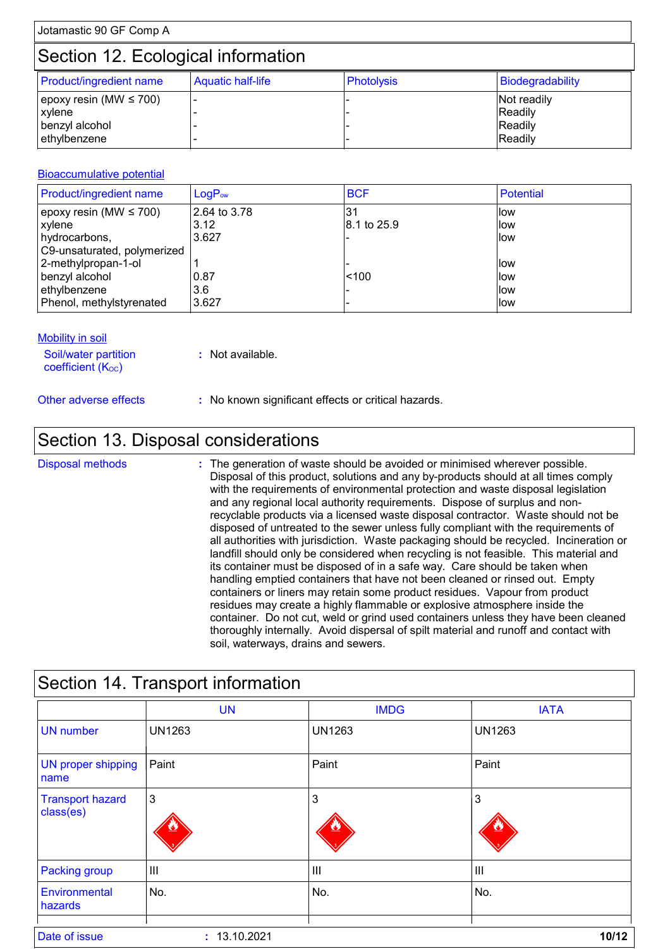# Section 12. Ecological information

| <b>Product/ingredient name</b>         | <b>Aquatic half-life</b> | Photolysis | Biodegradability       |
|----------------------------------------|--------------------------|------------|------------------------|
| epoxy resin (MW $\leq 700$ )<br>xylene |                          |            | Not readily<br>Readily |
| benzyl alcohol<br>ethylbenzene         |                          |            | Readily<br>Readily     |

#### Bioaccumulative potential

| Product/ingredient name     | $LogP_{ow}$  | <b>BCF</b>  | Potential |
|-----------------------------|--------------|-------------|-----------|
| epoxy resin (MW $\leq$ 700) | 2.64 to 3.78 | $\cdot 3'$  | llow      |
| xylene                      | 3.12         | 8.1 to 25.9 | llow      |
| hydrocarbons,               | 3.627        |             | llow      |
| C9-unsaturated, polymerized |              |             |           |
| 2-methylpropan-1-ol         |              |             | llow      |
| benzyl alcohol              | 0.87         | < 100       | llow      |
| ethylbenzene                | 3.6          |             | llow      |
| Phenol, methylstyrenated    | 3.627        |             | llow      |

#### **Mobility in soil**

Soil/water partition coefficient (Koc)

**:** Not available.

Other adverse effects **:** No known significant effects or critical hazards.

### Section 13. Disposal considerations

The generation of waste should be avoided or minimised wherever possible. Disposal of this product, solutions and any by-products should at all times comply with the requirements of environmental protection and waste disposal legislation and any regional local authority requirements. Dispose of surplus and nonrecyclable products via a licensed waste disposal contractor. Waste should not be disposed of untreated to the sewer unless fully compliant with the requirements of all authorities with jurisdiction. Waste packaging should be recycled. Incineration or landfill should only be considered when recycling is not feasible. This material and its container must be disposed of in a safe way. Care should be taken when handling emptied containers that have not been cleaned or rinsed out. Empty containers or liners may retain some product residues. Vapour from product residues may create a highly flammable or explosive atmosphere inside the container. Do not cut, weld or grind used containers unless they have been cleaned thoroughly internally. Avoid dispersal of spilt material and runoff and contact with soil, waterways, drains and sewers. Disposal methods **:**

| Section 14. Transport information    |                |               |                |  |
|--------------------------------------|----------------|---------------|----------------|--|
|                                      | <b>UN</b>      | <b>IMDG</b>   | <b>IATA</b>    |  |
| <b>UN</b> number                     | <b>UN1263</b>  | <b>UN1263</b> | <b>UN1263</b>  |  |
| <b>UN proper shipping</b><br>name    | Paint          | Paint         | Paint          |  |
| <b>Transport hazard</b><br>class(es) | 3              | 3             | 3              |  |
| <b>Packing group</b>                 | $\mathsf{III}$ | $\  \ ^2$     | $\mathbf{III}$ |  |
| Environmental<br>hazards             | No.            | No.           | No.            |  |
| Date of issue                        | : 13.10.2021   |               | 10/12          |  |

# Section 14 Transport information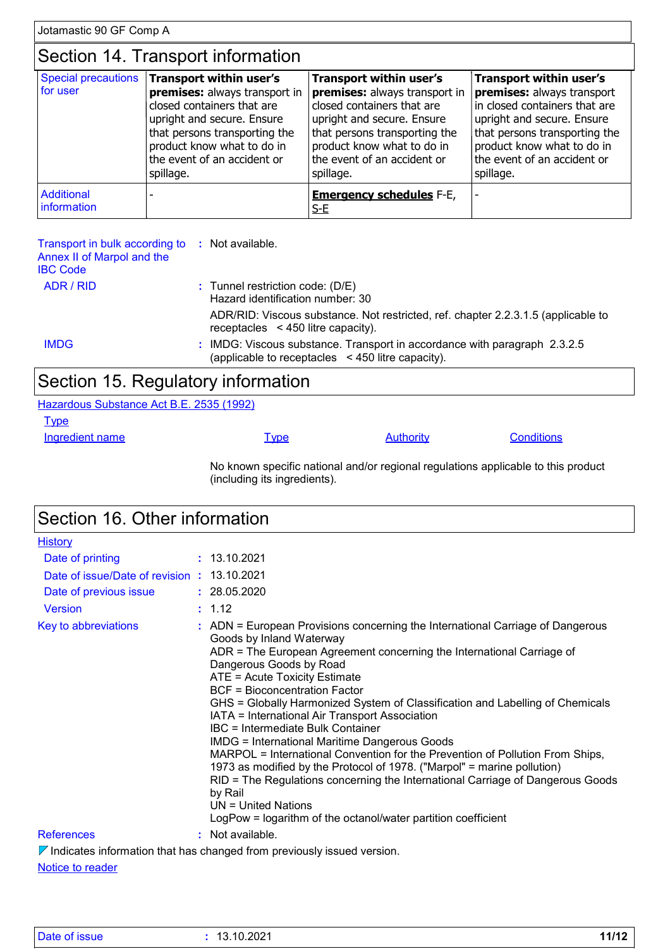# Section 14. Transport information

| for user                  | Special precautions   Transport within user's | <b>Transport within user's</b>                | Transport within user's       |
|---------------------------|-----------------------------------------------|-----------------------------------------------|-------------------------------|
|                           | premises: always transport in                 | premises: always transport in                 | premises: always transport    |
|                           | closed containers that are                    | closed containers that are                    | in closed containers that are |
|                           | upright and secure. Ensure                    | upright and secure. Ensure                    | upright and secure. Ensure    |
|                           | that persons transporting the                 | that persons transporting the                 | that persons transporting the |
|                           | product know what to do in                    | product know what to do in                    | product know what to do in    |
|                           | the event of an accident or                   | the event of an accident or                   | the event of an accident or   |
|                           | spillage.                                     | spillage.                                     | spillage.                     |
| Additional<br>information |                                               | <b>Emergency schedules F-E,</b><br><u>S-E</u> |                               |

| Transport in bulk according to<br>Annex II of Marpol and the<br><b>IBC Code</b> | : Not available.                                                                                                              |
|---------------------------------------------------------------------------------|-------------------------------------------------------------------------------------------------------------------------------|
| ADR / RID                                                                       | $:$ Tunnel restriction code: (D/E)<br>Hazard identification number: 30                                                        |
|                                                                                 | ADR/RID: Viscous substance. Not restricted, ref. chapter 2.2.3.1.5 (applicable to<br>receptacles $\leq$ 450 litre capacity).  |
| <b>IMDG</b>                                                                     | : IMDG: Viscous substance. Transport in accordance with paragraph 2.3.2.5<br>(applicable to receptacles <450 litre capacity). |

# Section 15. Regulatory information

Hazardous Substance Act B.E. 2535 (1992)

**Type** 

Ingredient name **Type** Type Authority Conditions

No known specific national and/or regional regulations applicable to this product (including its ingredients).

| Section 16. Other information               |                                                                                                                                                                                                                                                                                                                                                                                                                                                                                                                                                                                                                                                                                                                                                                                                                                                                            |  |  |
|---------------------------------------------|----------------------------------------------------------------------------------------------------------------------------------------------------------------------------------------------------------------------------------------------------------------------------------------------------------------------------------------------------------------------------------------------------------------------------------------------------------------------------------------------------------------------------------------------------------------------------------------------------------------------------------------------------------------------------------------------------------------------------------------------------------------------------------------------------------------------------------------------------------------------------|--|--|
| <b>History</b>                              |                                                                                                                                                                                                                                                                                                                                                                                                                                                                                                                                                                                                                                                                                                                                                                                                                                                                            |  |  |
| Date of printing                            | : 13.10.2021                                                                                                                                                                                                                                                                                                                                                                                                                                                                                                                                                                                                                                                                                                                                                                                                                                                               |  |  |
| Date of issue/Date of revision : 13.10.2021 |                                                                                                                                                                                                                                                                                                                                                                                                                                                                                                                                                                                                                                                                                                                                                                                                                                                                            |  |  |
| Date of previous issue                      | : 28.05.2020                                                                                                                                                                                                                                                                                                                                                                                                                                                                                                                                                                                                                                                                                                                                                                                                                                                               |  |  |
| <b>Version</b>                              | : 1.12                                                                                                                                                                                                                                                                                                                                                                                                                                                                                                                                                                                                                                                                                                                                                                                                                                                                     |  |  |
| Key to abbreviations                        | : ADN = European Provisions concerning the International Carriage of Dangerous<br>Goods by Inland Waterway<br>ADR = The European Agreement concerning the International Carriage of<br>Dangerous Goods by Road<br>ATE = Acute Toxicity Estimate<br><b>BCF</b> = Bioconcentration Factor<br>GHS = Globally Harmonized System of Classification and Labelling of Chemicals<br>IATA = International Air Transport Association<br>IBC = Intermediate Bulk Container<br><b>IMDG = International Maritime Dangerous Goods</b><br>MARPOL = International Convention for the Prevention of Pollution From Ships,<br>1973 as modified by the Protocol of 1978. ("Marpol" = marine pollution)<br>RID = The Regulations concerning the International Carriage of Dangerous Goods<br>by Rail<br>$UN = United Nations$<br>LogPow = logarithm of the octanol/water partition coefficient |  |  |
| <b>References</b>                           | : Not available.                                                                                                                                                                                                                                                                                                                                                                                                                                                                                                                                                                                                                                                                                                                                                                                                                                                           |  |  |
|                                             | $\nabla$ Indicates information that has changed from previously issued version.                                                                                                                                                                                                                                                                                                                                                                                                                                                                                                                                                                                                                                                                                                                                                                                            |  |  |

Notice to reader